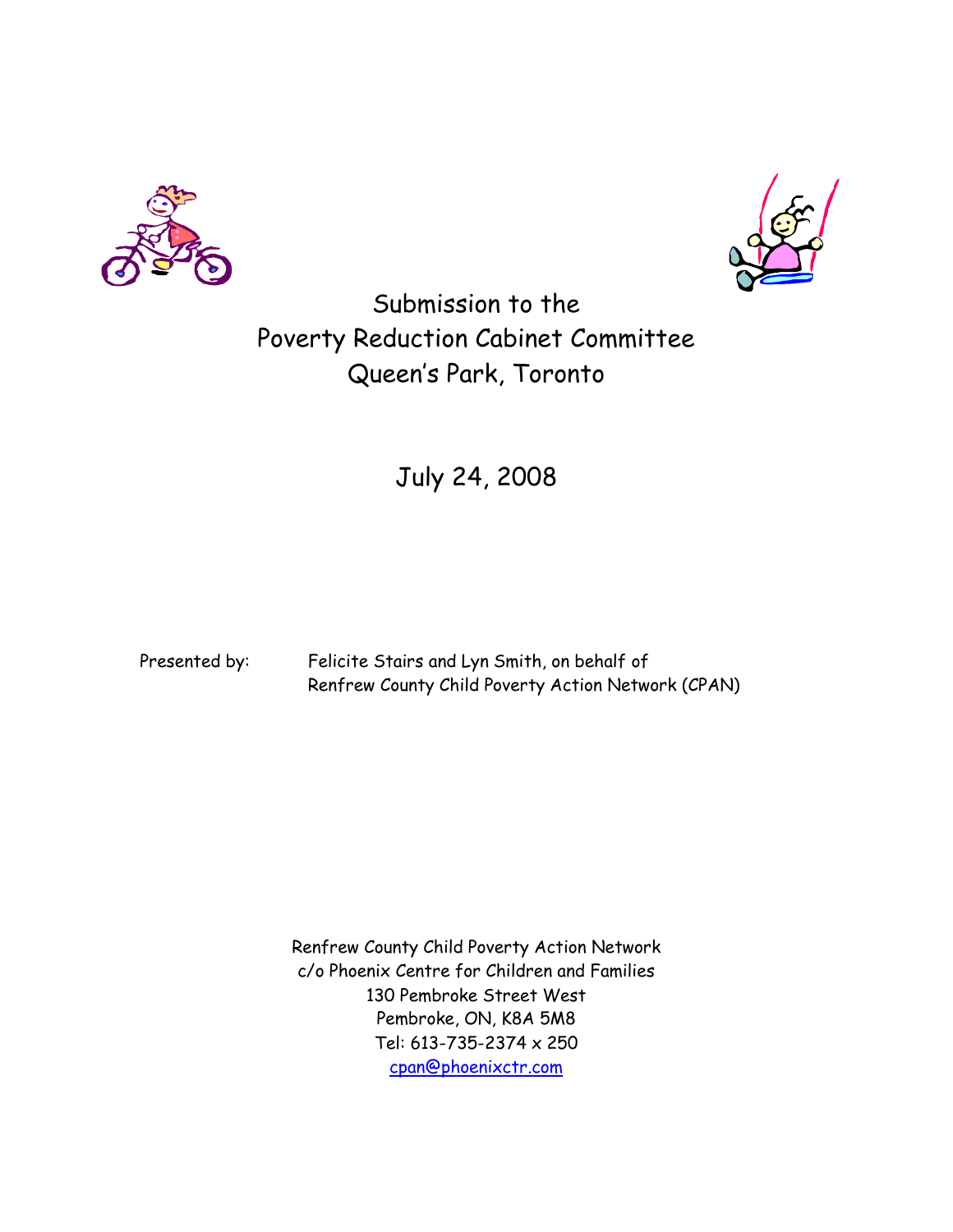



Submission to the Poverty Reduction Cabinet Committee Queen's Park, Toronto

# July 24, 2008

Presented by: Felicite Stairs and Lyn Smith, on behalf of Renfrew County Child Poverty Action Network (CPAN)

> Renfrew County Child Poverty Action Network c/o Phoenix Centre for Children and Families 130 Pembroke Street West Pembroke, ON, K8A 5M8 Tel: 613-735-2374 x 250 [cpan@phoenixctr.com](mailto:cpan@phoenixctr.com)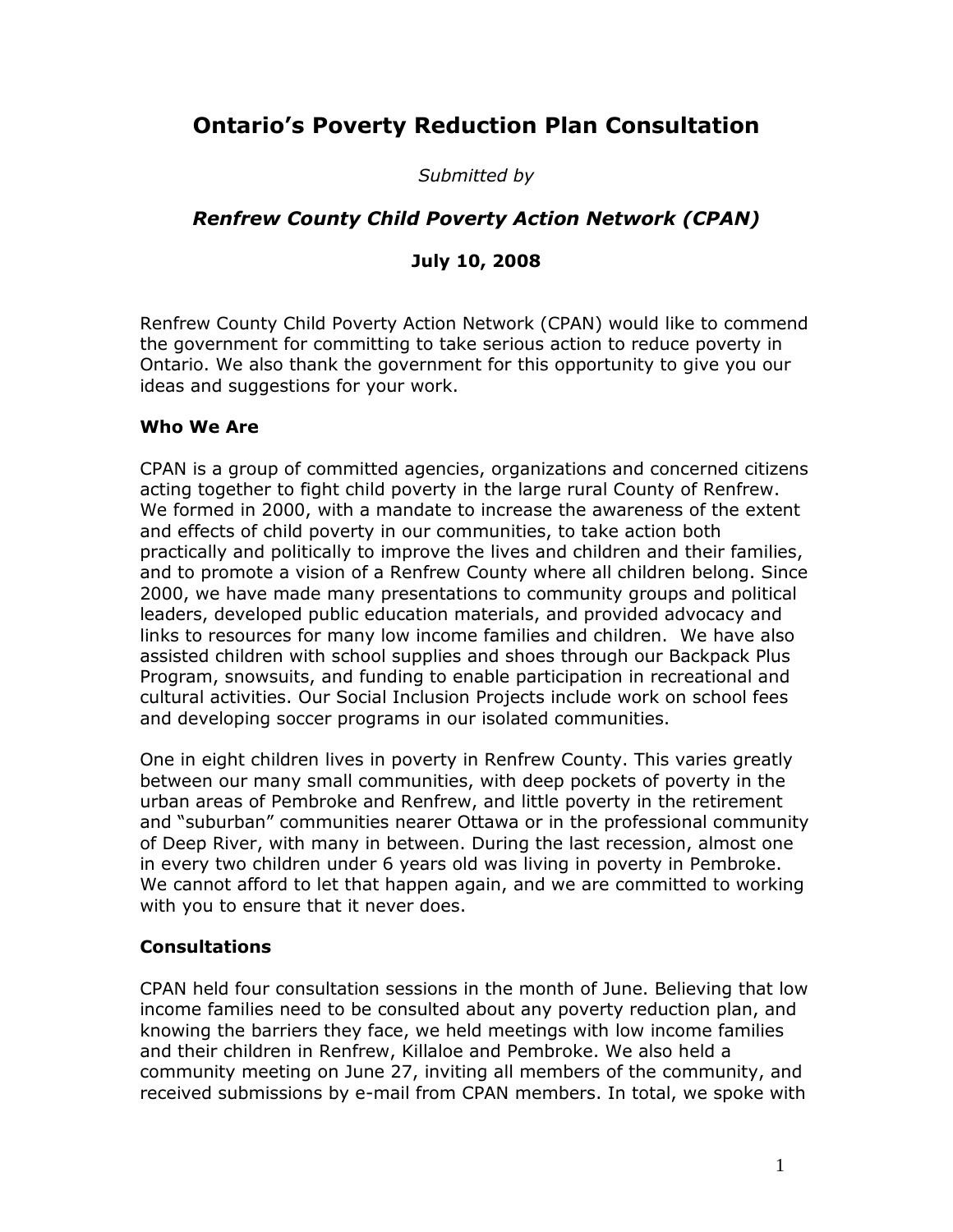## **Ontario's Poverty Reduction Plan Consultation**

*Submitted by*

## *Renfrew County Child Poverty Action Network (CPAN)*

## **July 10, 2008**

Renfrew County Child Poverty Action Network (CPAN) would like to commend the government for committing to take serious action to reduce poverty in Ontario. We also thank the government for this opportunity to give you our ideas and suggestions for your work.

#### **Who We Are**

CPAN is a group of committed agencies, organizations and concerned citizens acting together to fight child poverty in the large rural County of Renfrew. We formed in 2000, with a mandate to increase the awareness of the extent and effects of child poverty in our communities, to take action both practically and politically to improve the lives and children and their families, and to promote a vision of a Renfrew County where all children belong. Since 2000, we have made many presentations to community groups and political leaders, developed public education materials, and provided advocacy and links to resources for many low income families and children. We have also assisted children with school supplies and shoes through our Backpack Plus Program, snowsuits, and funding to enable participation in recreational and cultural activities. Our Social Inclusion Projects include work on school fees and developing soccer programs in our isolated communities.

One in eight children lives in poverty in Renfrew County. This varies greatly between our many small communities, with deep pockets of poverty in the urban areas of Pembroke and Renfrew, and little poverty in the retirement and "suburban" communities nearer Ottawa or in the professional community of Deep River, with many in between. During the last recession, almost one in every two children under 6 years old was living in poverty in Pembroke. We cannot afford to let that happen again, and we are committed to working with you to ensure that it never does.

## **Consultations**

CPAN held four consultation sessions in the month of June. Believing that low income families need to be consulted about any poverty reduction plan, and knowing the barriers they face, we held meetings with low income families and their children in Renfrew, Killaloe and Pembroke. We also held a community meeting on June 27, inviting all members of the community, and received submissions by e-mail from CPAN members. In total, we spoke with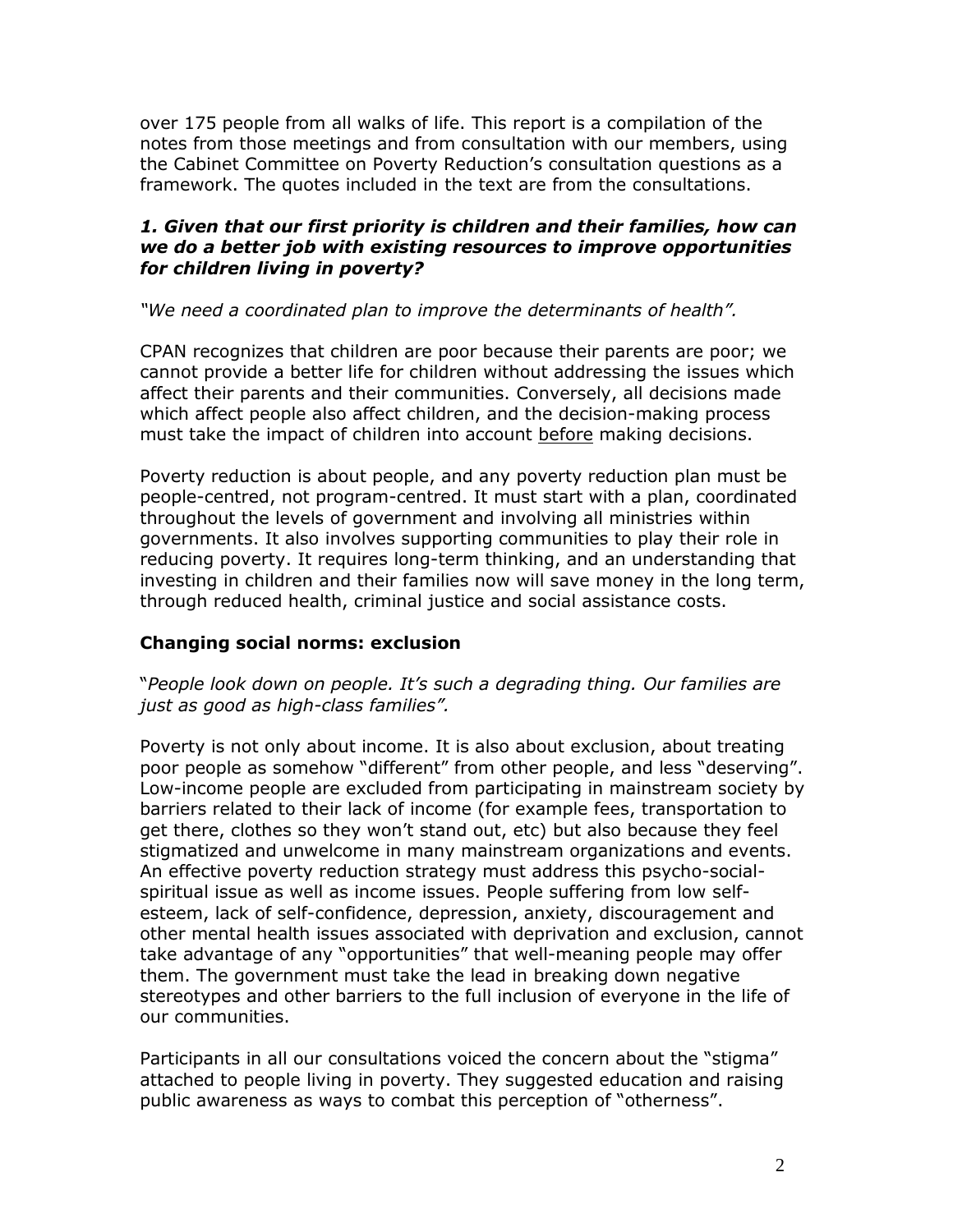over 175 people from all walks of life. This report is a compilation of the notes from those meetings and from consultation with our members, using the Cabinet Committee on Poverty Reduction's consultation questions as a framework. The quotes included in the text are from the consultations.

#### *1. Given that our first priority is children and their families, how can we do a better job with existing resources to improve opportunities for children living in poverty?*

#### *"We need a coordinated plan to improve the determinants of health".*

CPAN recognizes that children are poor because their parents are poor; we cannot provide a better life for children without addressing the issues which affect their parents and their communities. Conversely, all decisions made which affect people also affect children, and the decision-making process must take the impact of children into account before making decisions.

Poverty reduction is about people, and any poverty reduction plan must be people-centred, not program-centred. It must start with a plan, coordinated throughout the levels of government and involving all ministries within governments. It also involves supporting communities to play their role in reducing poverty. It requires long-term thinking, and an understanding that investing in children and their families now will save money in the long term, through reduced health, criminal justice and social assistance costs.

#### **Changing social norms: exclusion**

#### "*People look down on people. It's such a degrading thing. Our families are just as good as high-class families".*

Poverty is not only about income. It is also about exclusion, about treating poor people as somehow "different" from other people, and less "deserving". Low-income people are excluded from participating in mainstream society by barriers related to their lack of income (for example fees, transportation to get there, clothes so they won't stand out, etc) but also because they feel stigmatized and unwelcome in many mainstream organizations and events. An effective poverty reduction strategy must address this psycho-socialspiritual issue as well as income issues. People suffering from low selfesteem, lack of self-confidence, depression, anxiety, discouragement and other mental health issues associated with deprivation and exclusion, cannot take advantage of any "opportunities" that well-meaning people may offer them. The government must take the lead in breaking down negative stereotypes and other barriers to the full inclusion of everyone in the life of our communities.

Participants in all our consultations voiced the concern about the "stigma" attached to people living in poverty. They suggested education and raising public awareness as ways to combat this perception of "otherness".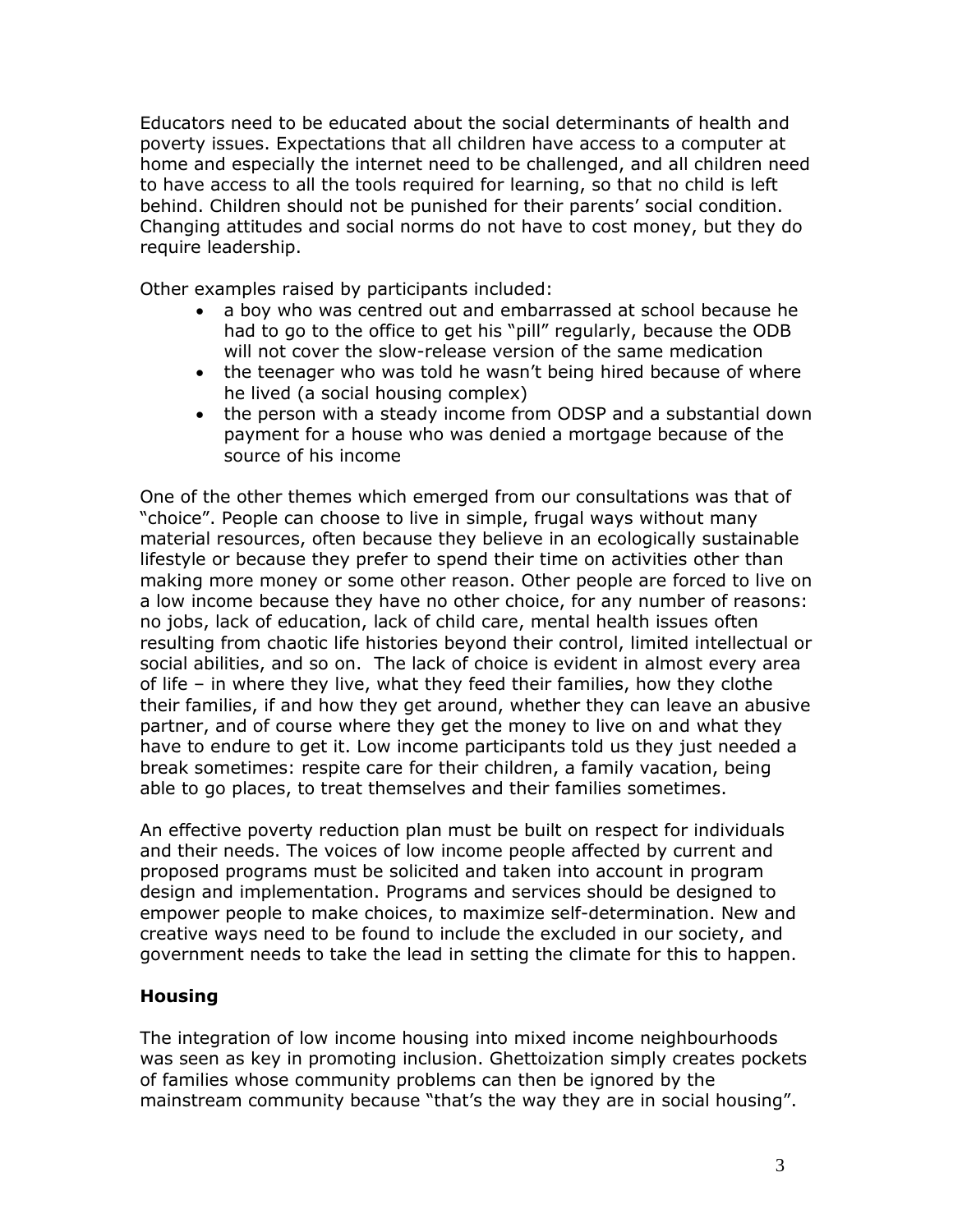Educators need to be educated about the social determinants of health and poverty issues. Expectations that all children have access to a computer at home and especially the internet need to be challenged, and all children need to have access to all the tools required for learning, so that no child is left behind. Children should not be punished for their parents' social condition. Changing attitudes and social norms do not have to cost money, but they do require leadership.

Other examples raised by participants included:

- a boy who was centred out and embarrassed at school because he had to go to the office to get his "pill" regularly, because the ODB will not cover the slow-release version of the same medication
- the teenager who was told he wasn't being hired because of where he lived (a social housing complex)
- the person with a steady income from ODSP and a substantial down payment for a house who was denied a mortgage because of the source of his income

One of the other themes which emerged from our consultations was that of "choice". People can choose to live in simple, frugal ways without many material resources, often because they believe in an ecologically sustainable lifestyle or because they prefer to spend their time on activities other than making more money or some other reason. Other people are forced to live on a low income because they have no other choice, for any number of reasons: no jobs, lack of education, lack of child care, mental health issues often resulting from chaotic life histories beyond their control, limited intellectual or social abilities, and so on. The lack of choice is evident in almost every area of life – in where they live, what they feed their families, how they clothe their families, if and how they get around, whether they can leave an abusive partner, and of course where they get the money to live on and what they have to endure to get it. Low income participants told us they just needed a break sometimes: respite care for their children, a family vacation, being able to go places, to treat themselves and their families sometimes.

An effective poverty reduction plan must be built on respect for individuals and their needs. The voices of low income people affected by current and proposed programs must be solicited and taken into account in program design and implementation. Programs and services should be designed to empower people to make choices, to maximize self-determination. New and creative ways need to be found to include the excluded in our society, and government needs to take the lead in setting the climate for this to happen.

#### **Housing**

The integration of low income housing into mixed income neighbourhoods was seen as key in promoting inclusion. Ghettoization simply creates pockets of families whose community problems can then be ignored by the mainstream community because "that's the way they are in social housing".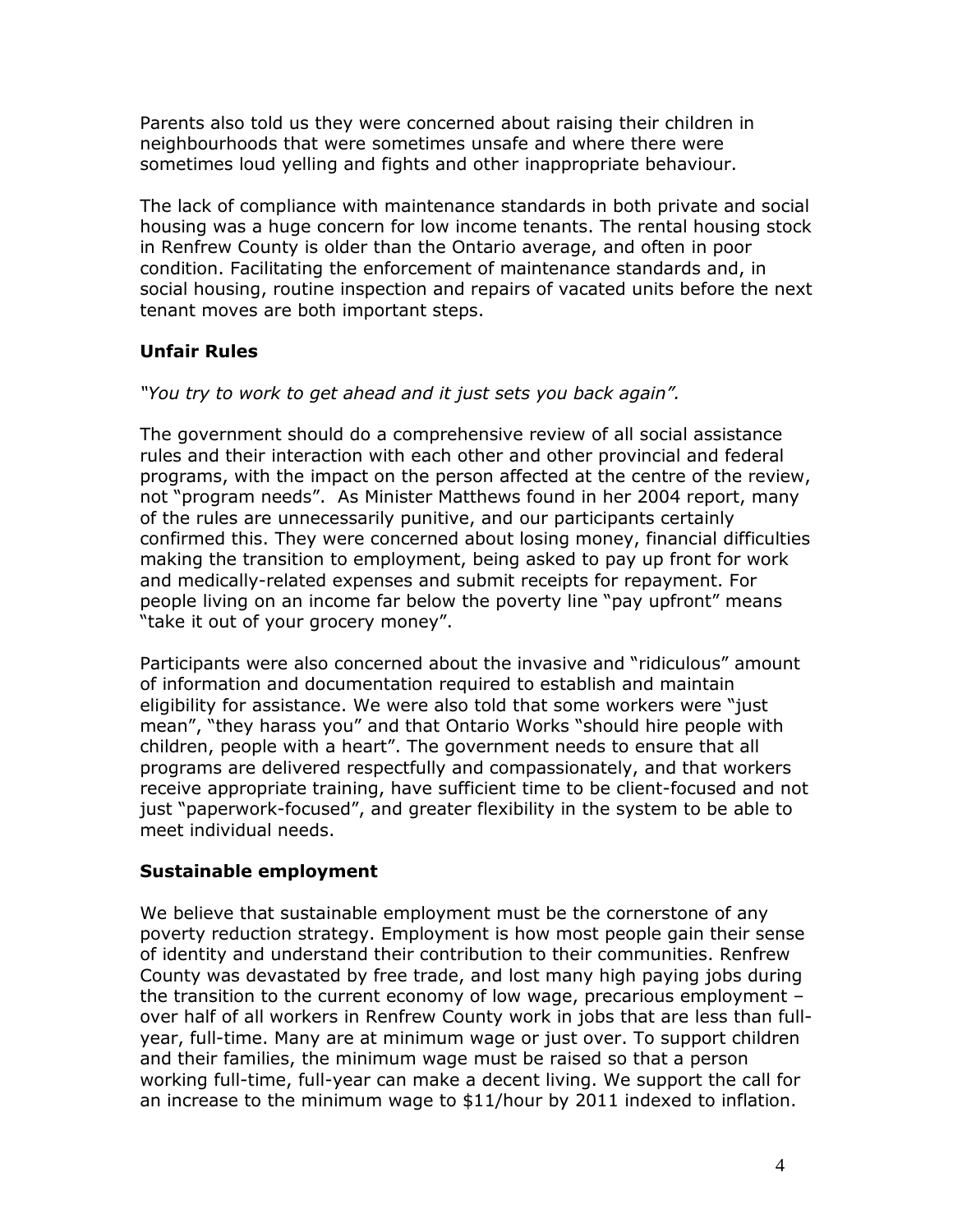Parents also told us they were concerned about raising their children in neighbourhoods that were sometimes unsafe and where there were sometimes loud yelling and fights and other inappropriate behaviour.

The lack of compliance with maintenance standards in both private and social housing was a huge concern for low income tenants. The rental housing stock in Renfrew County is older than the Ontario average, and often in poor condition. Facilitating the enforcement of maintenance standards and, in social housing, routine inspection and repairs of vacated units before the next tenant moves are both important steps.

## **Unfair Rules**

*"You try to work to get ahead and it just sets you back again".*

The government should do a comprehensive review of all social assistance rules and their interaction with each other and other provincial and federal programs, with the impact on the person affected at the centre of the review, not "program needs". As Minister Matthews found in her 2004 report, many of the rules are unnecessarily punitive, and our participants certainly confirmed this. They were concerned about losing money, financial difficulties making the transition to employment, being asked to pay up front for work and medically-related expenses and submit receipts for repayment. For people living on an income far below the poverty line "pay upfront" means "take it out of your grocery money".

Participants were also concerned about the invasive and "ridiculous" amount of information and documentation required to establish and maintain eligibility for assistance. We were also told that some workers were "just mean", "they harass you" and that Ontario Works "should hire people with children, people with a heart". The government needs to ensure that all programs are delivered respectfully and compassionately, and that workers receive appropriate training, have sufficient time to be client-focused and not just "paperwork-focused", and greater flexibility in the system to be able to meet individual needs.

## **Sustainable employment**

We believe that sustainable employment must be the cornerstone of any poverty reduction strategy. Employment is how most people gain their sense of identity and understand their contribution to their communities. Renfrew County was devastated by free trade, and lost many high paying jobs during the transition to the current economy of low wage, precarious employment – over half of all workers in Renfrew County work in jobs that are less than fullyear, full-time. Many are at minimum wage or just over. To support children and their families, the minimum wage must be raised so that a person working full-time, full-year can make a decent living. We support the call for an increase to the minimum wage to \$11/hour by 2011 indexed to inflation.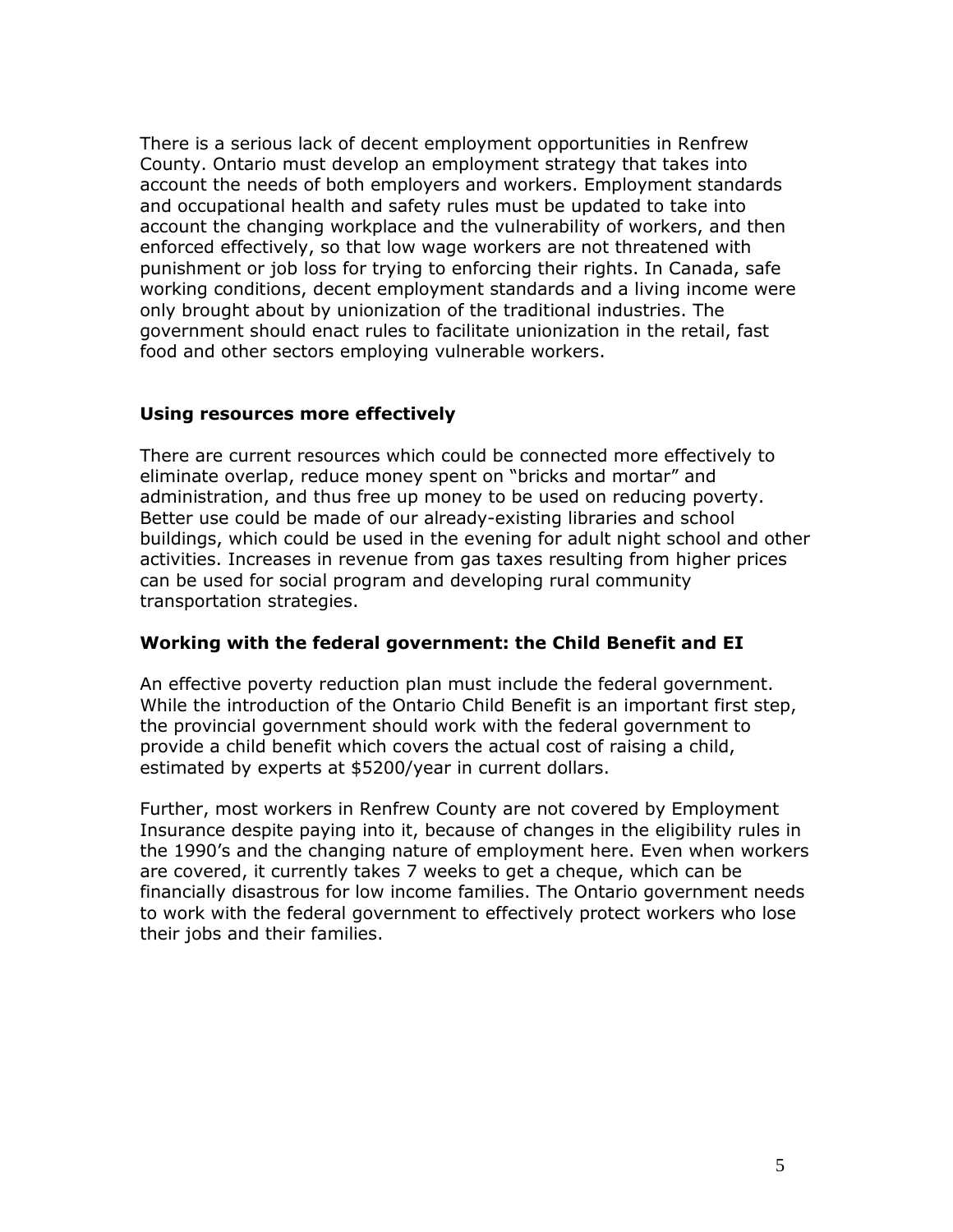There is a serious lack of decent employment opportunities in Renfrew County. Ontario must develop an employment strategy that takes into account the needs of both employers and workers. Employment standards and occupational health and safety rules must be updated to take into account the changing workplace and the vulnerability of workers, and then enforced effectively, so that low wage workers are not threatened with punishment or job loss for trying to enforcing their rights. In Canada, safe working conditions, decent employment standards and a living income were only brought about by unionization of the traditional industries. The government should enact rules to facilitate unionization in the retail, fast food and other sectors employing vulnerable workers.

#### **Using resources more effectively**

There are current resources which could be connected more effectively to eliminate overlap, reduce money spent on "bricks and mortar" and administration, and thus free up money to be used on reducing poverty. Better use could be made of our already-existing libraries and school buildings, which could be used in the evening for adult night school and other activities. Increases in revenue from gas taxes resulting from higher prices can be used for social program and developing rural community transportation strategies.

#### **Working with the federal government: the Child Benefit and EI**

An effective poverty reduction plan must include the federal government. While the introduction of the Ontario Child Benefit is an important first step, the provincial government should work with the federal government to provide a child benefit which covers the actual cost of raising a child, estimated by experts at \$5200/year in current dollars.

Further, most workers in Renfrew County are not covered by Employment Insurance despite paying into it, because of changes in the eligibility rules in the 1990's and the changing nature of employment here. Even when workers are covered, it currently takes 7 weeks to get a cheque, which can be financially disastrous for low income families. The Ontario government needs to work with the federal government to effectively protect workers who lose their jobs and their families.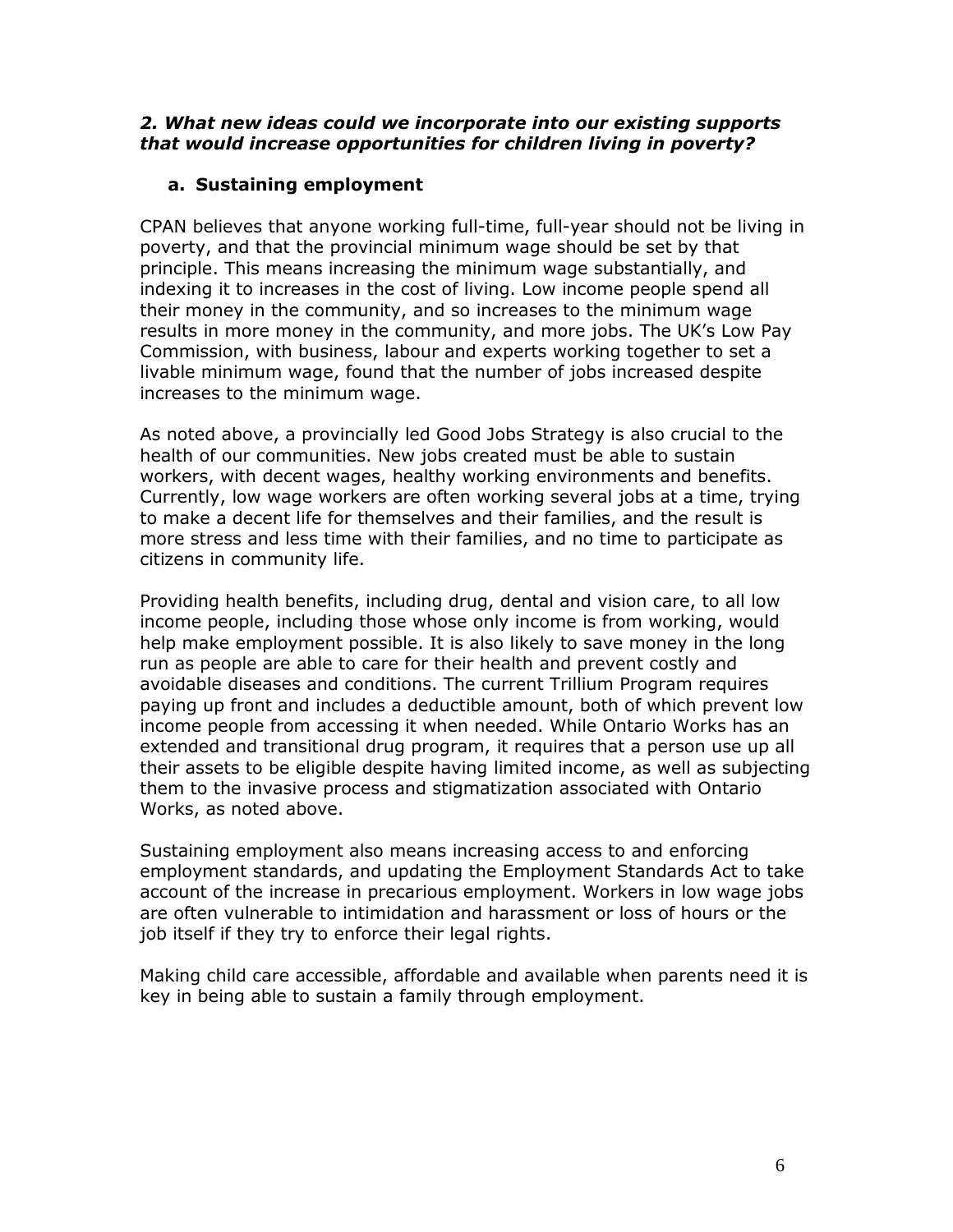#### *2. What new ideas could we incorporate into our existing supports that would increase opportunities for children living in poverty?*

#### **a. Sustaining employment**

CPAN believes that anyone working full-time, full-year should not be living in poverty, and that the provincial minimum wage should be set by that principle. This means increasing the minimum wage substantially, and indexing it to increases in the cost of living. Low income people spend all their money in the community, and so increases to the minimum wage results in more money in the community, and more jobs. The UK's Low Pay Commission, with business, labour and experts working together to set a livable minimum wage, found that the number of jobs increased despite increases to the minimum wage.

As noted above, a provincially led Good Jobs Strategy is also crucial to the health of our communities. New jobs created must be able to sustain workers, with decent wages, healthy working environments and benefits. Currently, low wage workers are often working several jobs at a time, trying to make a decent life for themselves and their families, and the result is more stress and less time with their families, and no time to participate as citizens in community life.

Providing health benefits, including drug, dental and vision care, to all low income people, including those whose only income is from working, would help make employment possible. It is also likely to save money in the long run as people are able to care for their health and prevent costly and avoidable diseases and conditions. The current Trillium Program requires paying up front and includes a deductible amount, both of which prevent low income people from accessing it when needed. While Ontario Works has an extended and transitional drug program, it requires that a person use up all their assets to be eligible despite having limited income, as well as subjecting them to the invasive process and stigmatization associated with Ontario Works, as noted above.

Sustaining employment also means increasing access to and enforcing employment standards, and updating the Employment Standards Act to take account of the increase in precarious employment. Workers in low wage jobs are often vulnerable to intimidation and harassment or loss of hours or the job itself if they try to enforce their legal rights.

Making child care accessible, affordable and available when parents need it is key in being able to sustain a family through employment.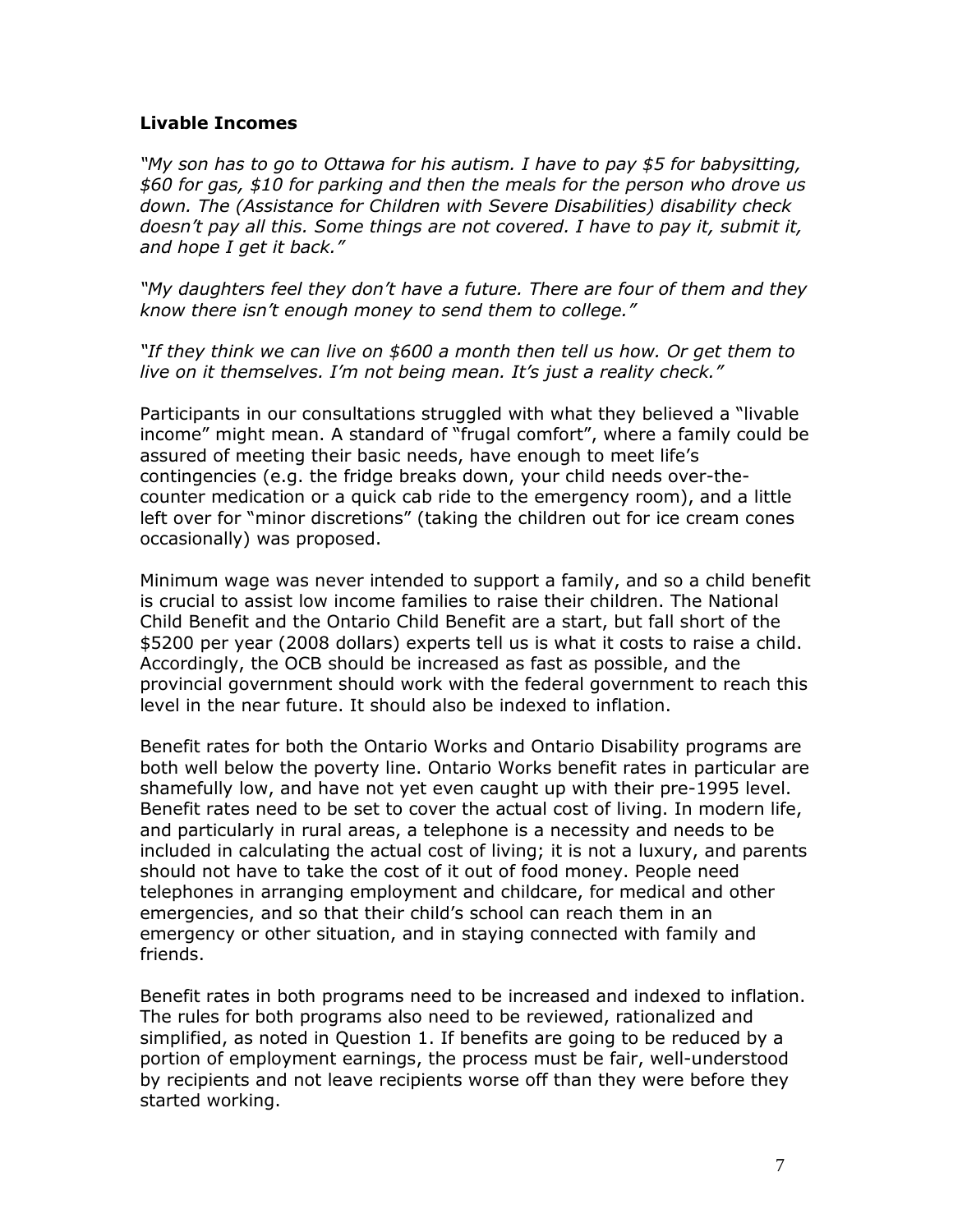#### **Livable Incomes**

*"My son has to go to Ottawa for his autism. I have to pay \$5 for babysitting, \$60 for gas, \$10 for parking and then the meals for the person who drove us down. The (Assistance for Children with Severe Disabilities) disability check doesn't pay all this. Some things are not covered. I have to pay it, submit it, and hope I get it back."*

*"My daughters feel they don't have a future. There are four of them and they know there isn't enough money to send them to college."*

*"If they think we can live on \$600 a month then tell us how. Or get them to live on it themselves. I'm not being mean. It's just a reality check."*

Participants in our consultations struggled with what they believed a "livable income" might mean. A standard of "frugal comfort", where a family could be assured of meeting their basic needs, have enough to meet life's contingencies (e.g. the fridge breaks down, your child needs over-thecounter medication or a quick cab ride to the emergency room), and a little left over for "minor discretions" (taking the children out for ice cream cones occasionally) was proposed.

Minimum wage was never intended to support a family, and so a child benefit is crucial to assist low income families to raise their children. The National Child Benefit and the Ontario Child Benefit are a start, but fall short of the \$5200 per year (2008 dollars) experts tell us is what it costs to raise a child. Accordingly, the OCB should be increased as fast as possible, and the provincial government should work with the federal government to reach this level in the near future. It should also be indexed to inflation.

Benefit rates for both the Ontario Works and Ontario Disability programs are both well below the poverty line. Ontario Works benefit rates in particular are shamefully low, and have not yet even caught up with their pre-1995 level. Benefit rates need to be set to cover the actual cost of living. In modern life, and particularly in rural areas, a telephone is a necessity and needs to be included in calculating the actual cost of living; it is not a luxury, and parents should not have to take the cost of it out of food money. People need telephones in arranging employment and childcare, for medical and other emergencies, and so that their child's school can reach them in an emergency or other situation, and in staying connected with family and friends.

Benefit rates in both programs need to be increased and indexed to inflation. The rules for both programs also need to be reviewed, rationalized and simplified, as noted in Question 1. If benefits are going to be reduced by a portion of employment earnings, the process must be fair, well-understood by recipients and not leave recipients worse off than they were before they started working.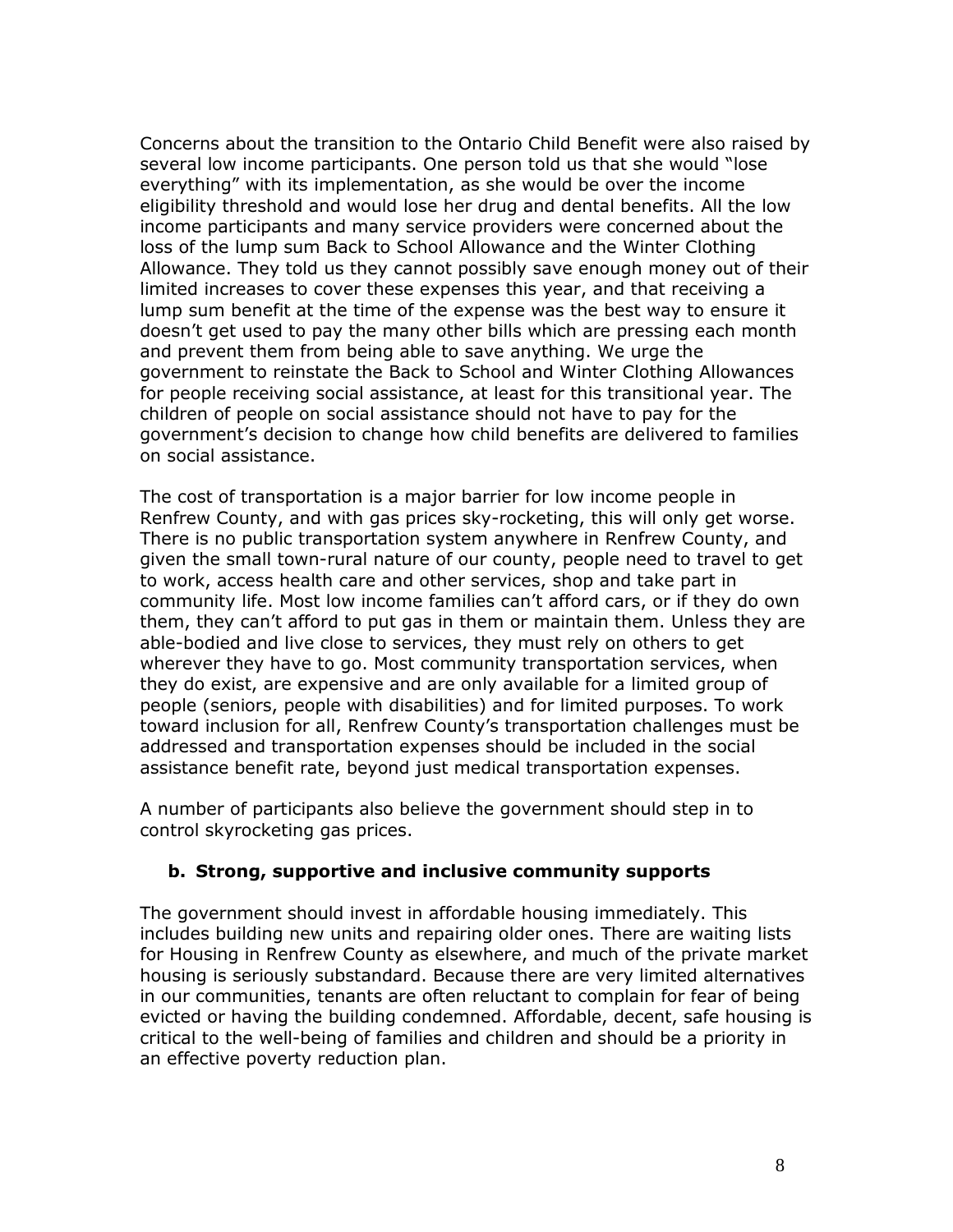Concerns about the transition to the Ontario Child Benefit were also raised by several low income participants. One person told us that she would "lose everything" with its implementation, as she would be over the income eligibility threshold and would lose her drug and dental benefits. All the low income participants and many service providers were concerned about the loss of the lump sum Back to School Allowance and the Winter Clothing Allowance. They told us they cannot possibly save enough money out of their limited increases to cover these expenses this year, and that receiving a lump sum benefit at the time of the expense was the best way to ensure it doesn't get used to pay the many other bills which are pressing each month and prevent them from being able to save anything. We urge the government to reinstate the Back to School and Winter Clothing Allowances for people receiving social assistance, at least for this transitional year. The children of people on social assistance should not have to pay for the government's decision to change how child benefits are delivered to families on social assistance.

The cost of transportation is a major barrier for low income people in Renfrew County, and with gas prices sky-rocketing, this will only get worse. There is no public transportation system anywhere in Renfrew County, and given the small town-rural nature of our county, people need to travel to get to work, access health care and other services, shop and take part in community life. Most low income families can't afford cars, or if they do own them, they can't afford to put gas in them or maintain them. Unless they are able-bodied and live close to services, they must rely on others to get wherever they have to go. Most community transportation services, when they do exist, are expensive and are only available for a limited group of people (seniors, people with disabilities) and for limited purposes. To work toward inclusion for all, Renfrew County's transportation challenges must be addressed and transportation expenses should be included in the social assistance benefit rate, beyond just medical transportation expenses.

A number of participants also believe the government should step in to control skyrocketing gas prices.

#### **b. Strong, supportive and inclusive community supports**

The government should invest in affordable housing immediately. This includes building new units and repairing older ones. There are waiting lists for Housing in Renfrew County as elsewhere, and much of the private market housing is seriously substandard. Because there are very limited alternatives in our communities, tenants are often reluctant to complain for fear of being evicted or having the building condemned. Affordable, decent, safe housing is critical to the well-being of families and children and should be a priority in an effective poverty reduction plan.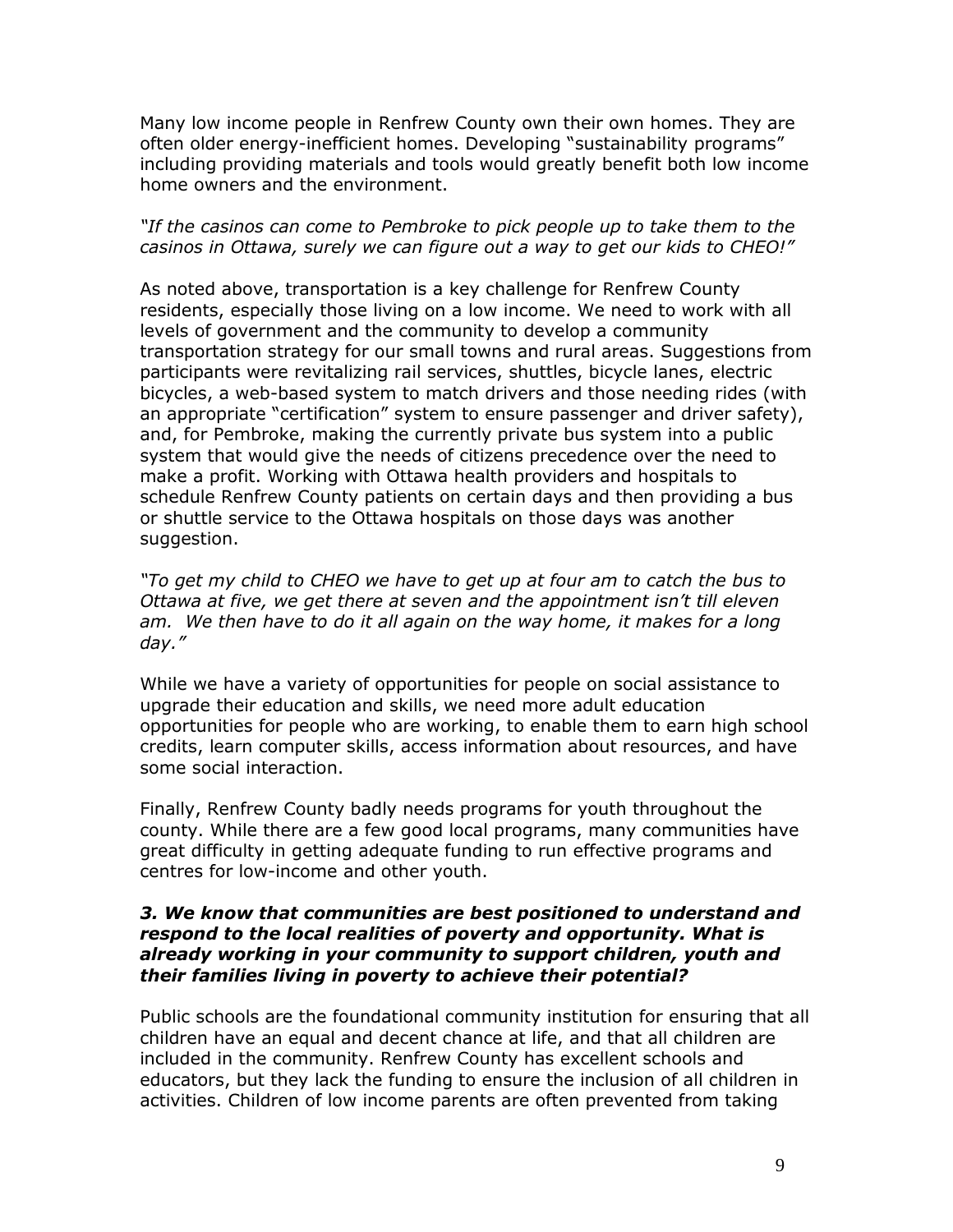Many low income people in Renfrew County own their own homes. They are often older energy-inefficient homes. Developing "sustainability programs" including providing materials and tools would greatly benefit both low income home owners and the environment.

#### *"If the casinos can come to Pembroke to pick people up to take them to the casinos in Ottawa, surely we can figure out a way to get our kids to CHEO!"*

As noted above, transportation is a key challenge for Renfrew County residents, especially those living on a low income. We need to work with all levels of government and the community to develop a community transportation strategy for our small towns and rural areas. Suggestions from participants were revitalizing rail services, shuttles, bicycle lanes, electric bicycles, a web-based system to match drivers and those needing rides (with an appropriate "certification" system to ensure passenger and driver safety), and, for Pembroke, making the currently private bus system into a public system that would give the needs of citizens precedence over the need to make a profit. Working with Ottawa health providers and hospitals to schedule Renfrew County patients on certain days and then providing a bus or shuttle service to the Ottawa hospitals on those days was another suggestion.

*"To get my child to CHEO we have to get up at four am to catch the bus to Ottawa at five, we get there at seven and the appointment isn't till eleven* am. We then have to do it all again on the way home, it makes for a long *day."*

While we have a variety of opportunities for people on social assistance to upgrade their education and skills, we need more adult education opportunities for people who are working, to enable them to earn high school credits, learn computer skills, access information about resources, and have some social interaction.

Finally, Renfrew County badly needs programs for youth throughout the county. While there are a few good local programs, many communities have great difficulty in getting adequate funding to run effective programs and centres for low-income and other youth.

#### *3. We know that communities are best positioned to understand and respond to the local realities of poverty and opportunity. What is already working in your community to support children, youth and their families living in poverty to achieve their potential?*

Public schools are the foundational community institution for ensuring that all children have an equal and decent chance at life, and that all children are included in the community. Renfrew County has excellent schools and educators, but they lack the funding to ensure the inclusion of all children in activities. Children of low income parents are often prevented from taking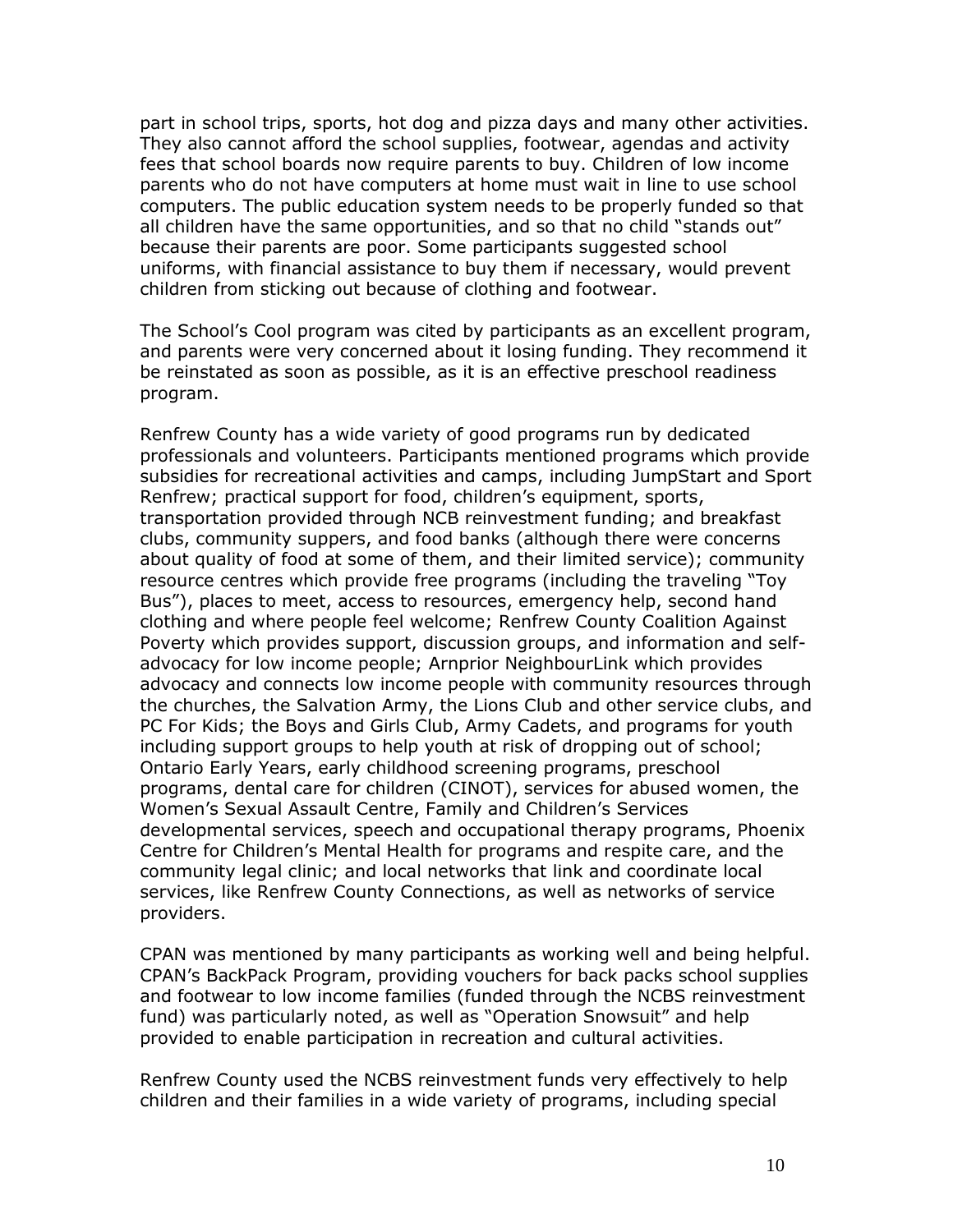part in school trips, sports, hot dog and pizza days and many other activities. They also cannot afford the school supplies, footwear, agendas and activity fees that school boards now require parents to buy. Children of low income parents who do not have computers at home must wait in line to use school computers. The public education system needs to be properly funded so that all children have the same opportunities, and so that no child "stands out" because their parents are poor. Some participants suggested school uniforms, with financial assistance to buy them if necessary, would prevent children from sticking out because of clothing and footwear.

The School's Cool program was cited by participants as an excellent program, and parents were very concerned about it losing funding. They recommend it be reinstated as soon as possible, as it is an effective preschool readiness program.

Renfrew County has a wide variety of good programs run by dedicated professionals and volunteers. Participants mentioned programs which provide subsidies for recreational activities and camps, including JumpStart and Sport Renfrew; practical support for food, children's equipment, sports, transportation provided through NCB reinvestment funding; and breakfast clubs, community suppers, and food banks (although there were concerns about quality of food at some of them, and their limited service); community resource centres which provide free programs (including the traveling "Toy Bus"), places to meet, access to resources, emergency help, second hand clothing and where people feel welcome; Renfrew County Coalition Against Poverty which provides support, discussion groups, and information and selfadvocacy for low income people; Arnprior NeighbourLink which provides advocacy and connects low income people with community resources through the churches, the Salvation Army, the Lions Club and other service clubs, and PC For Kids; the Boys and Girls Club, Army Cadets, and programs for youth including support groups to help youth at risk of dropping out of school; Ontario Early Years, early childhood screening programs, preschool programs, dental care for children (CINOT), services for abused women, the Women's Sexual Assault Centre, Family and Children's Services developmental services, speech and occupational therapy programs, Phoenix Centre for Children's Mental Health for programs and respite care, and the community legal clinic; and local networks that link and coordinate local services, like Renfrew County Connections, as well as networks of service providers.

CPAN was mentioned by many participants as working well and being helpful. CPAN's BackPack Program, providing vouchers for back packs school supplies and footwear to low income families (funded through the NCBS reinvestment fund) was particularly noted, as well as "Operation Snowsuit" and help provided to enable participation in recreation and cultural activities.

Renfrew County used the NCBS reinvestment funds very effectively to help children and their families in a wide variety of programs, including special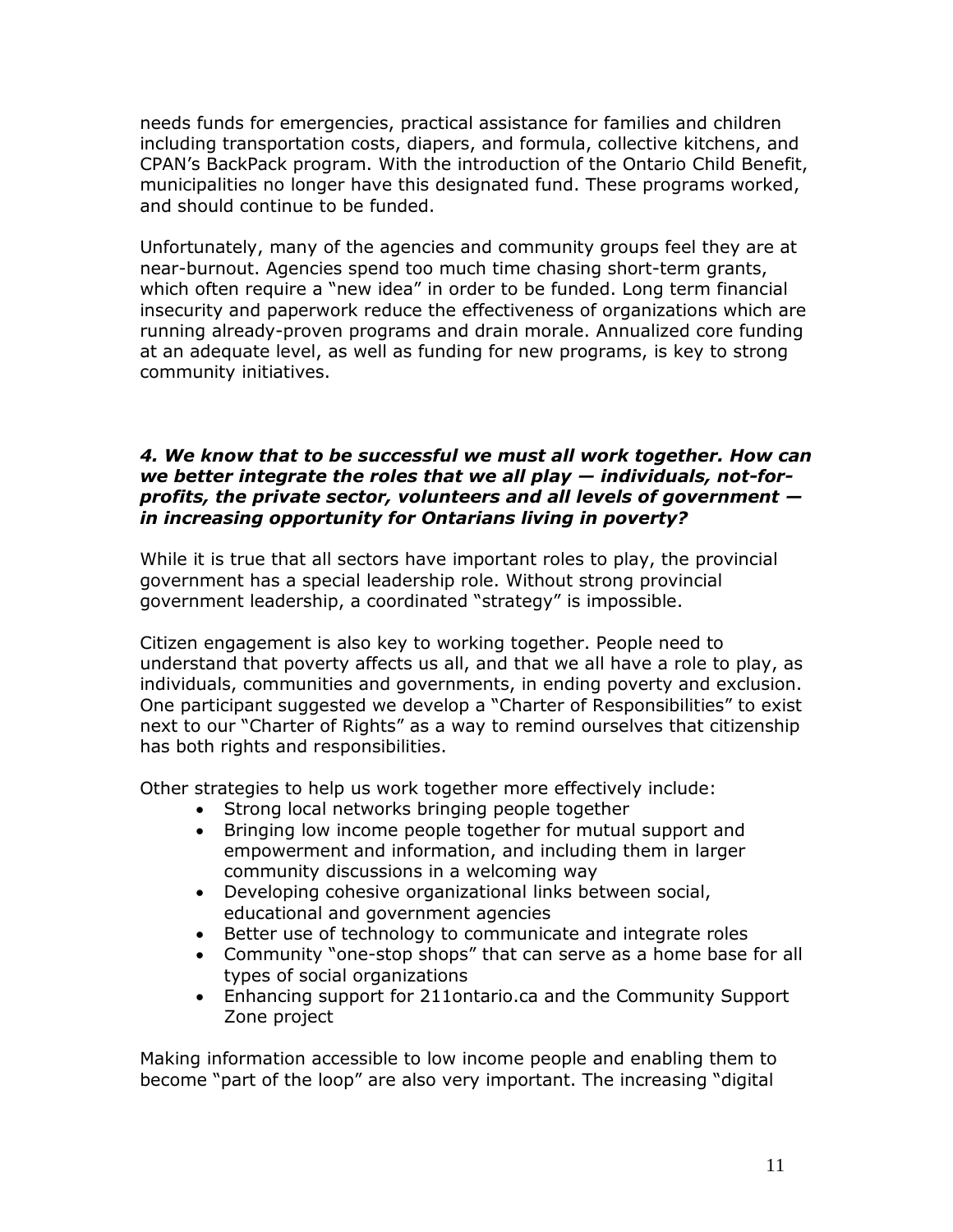needs funds for emergencies, practical assistance for families and children including transportation costs, diapers, and formula, collective kitchens, and CPAN's BackPack program. With the introduction of the Ontario Child Benefit, municipalities no longer have this designated fund. These programs worked, and should continue to be funded.

Unfortunately, many of the agencies and community groups feel they are at near-burnout. Agencies spend too much time chasing short-term grants, which often require a "new idea" in order to be funded. Long term financial insecurity and paperwork reduce the effectiveness of organizations which are running already-proven programs and drain morale. Annualized core funding at an adequate level, as well as funding for new programs, is key to strong community initiatives.

#### *4. We know that to be successful we must all work together. How can we better integrate the roles that we all play — individuals, not-forprofits, the private sector, volunteers and all levels of government in increasing opportunity for Ontarians living in poverty?*

While it is true that all sectors have important roles to play, the provincial government has a special leadership role. Without strong provincial government leadership, a coordinated "strategy" is impossible.

Citizen engagement is also key to working together. People need to understand that poverty affects us all, and that we all have a role to play, as individuals, communities and governments, in ending poverty and exclusion. One participant suggested we develop a "Charter of Responsibilities" to exist next to our "Charter of Rights" as a way to remind ourselves that citizenship has both rights and responsibilities.

Other strategies to help us work together more effectively include:

- Strong local networks bringing people together
- Bringing low income people together for mutual support and empowerment and information, and including them in larger community discussions in a welcoming way
- Developing cohesive organizational links between social, educational and government agencies
- Better use of technology to communicate and integrate roles
- Community "one-stop shops" that can serve as a home base for all types of social organizations
- Enhancing support for 211ontario.ca and the Community Support Zone project

Making information accessible to low income people and enabling them to become "part of the loop" are also very important. The increasing "digital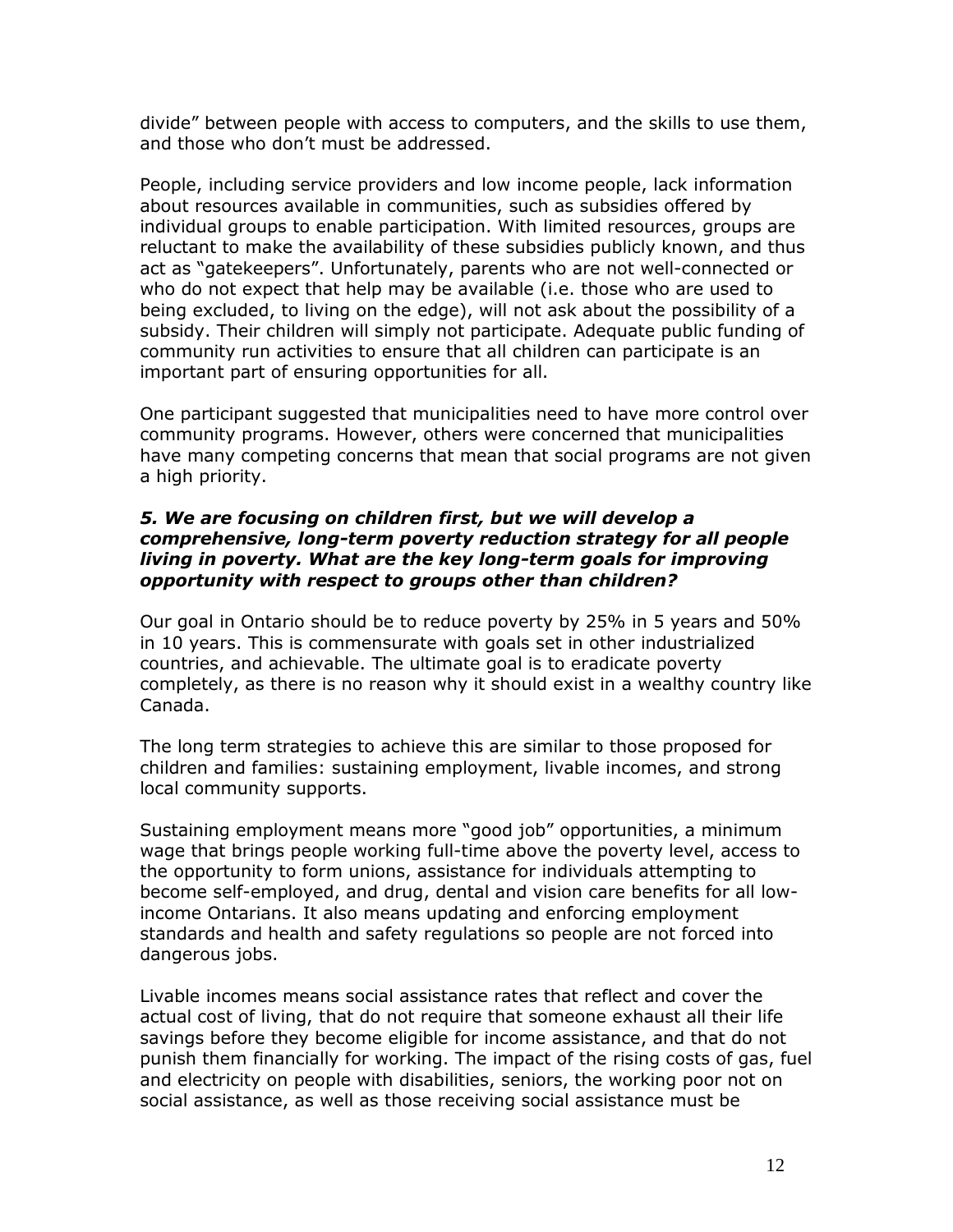divide" between people with access to computers, and the skills to use them, and those who don't must be addressed.

People, including service providers and low income people, lack information about resources available in communities, such as subsidies offered by individual groups to enable participation. With limited resources, groups are reluctant to make the availability of these subsidies publicly known, and thus act as "gatekeepers". Unfortunately, parents who are not well-connected or who do not expect that help may be available (i.e. those who are used to being excluded, to living on the edge), will not ask about the possibility of a subsidy. Their children will simply not participate. Adequate public funding of community run activities to ensure that all children can participate is an important part of ensuring opportunities for all.

One participant suggested that municipalities need to have more control over community programs. However, others were concerned that municipalities have many competing concerns that mean that social programs are not given a high priority.

#### *5. We are focusing on children first, but we will develop a comprehensive, long-term poverty reduction strategy for all people living in poverty. What are the key long-term goals for improving opportunity with respect to groups other than children?*

Our goal in Ontario should be to reduce poverty by 25% in 5 years and 50% in 10 years. This is commensurate with goals set in other industrialized countries, and achievable. The ultimate goal is to eradicate poverty completely, as there is no reason why it should exist in a wealthy country like Canada.

The long term strategies to achieve this are similar to those proposed for children and families: sustaining employment, livable incomes, and strong local community supports.

Sustaining employment means more "good job" opportunities, a minimum wage that brings people working full-time above the poverty level, access to the opportunity to form unions, assistance for individuals attempting to become self-employed, and drug, dental and vision care benefits for all lowincome Ontarians. It also means updating and enforcing employment standards and health and safety regulations so people are not forced into dangerous jobs.

Livable incomes means social assistance rates that reflect and cover the actual cost of living, that do not require that someone exhaust all their life savings before they become eligible for income assistance, and that do not punish them financially for working. The impact of the rising costs of gas, fuel and electricity on people with disabilities, seniors, the working poor not on social assistance, as well as those receiving social assistance must be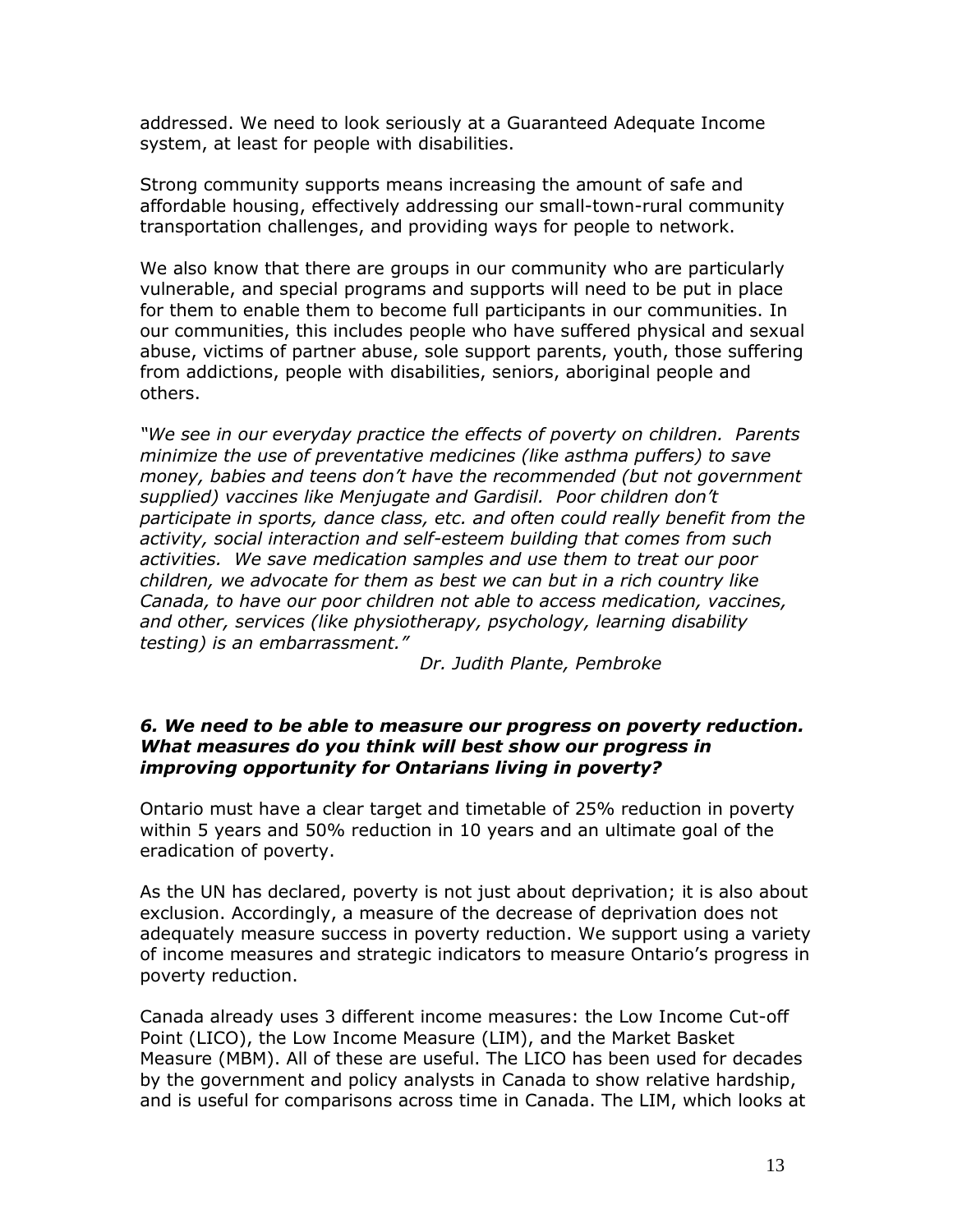addressed. We need to look seriously at a Guaranteed Adequate Income system, at least for people with disabilities.

Strong community supports means increasing the amount of safe and affordable housing, effectively addressing our small-town-rural community transportation challenges, and providing ways for people to network.

We also know that there are groups in our community who are particularly vulnerable, and special programs and supports will need to be put in place for them to enable them to become full participants in our communities. In our communities, this includes people who have suffered physical and sexual abuse, victims of partner abuse, sole support parents, youth, those suffering from addictions, people with disabilities, seniors, aboriginal people and others.

*"We see in our everyday practice the effects of poverty on children. Parents minimize the use of preventative medicines (like asthma puffers) to save money, babies and teens don't have the recommended (but not government supplied) vaccines like Menjugate and Gardisil. Poor children don't participate in sports, dance class, etc. and often could really benefit from the activity, social interaction and self-esteem building that comes from such activities. We save medication samples and use them to treat our poor children, we advocate for them as best we can but in a rich country like Canada, to have our poor children not able to access medication, vaccines, and other, services (like physiotherapy, psychology, learning disability testing) is an embarrassment."*

*Dr. Judith Plante, Pembroke*

#### *6. We need to be able to measure our progress on poverty reduction. What measures do you think will best show our progress in improving opportunity for Ontarians living in poverty?*

Ontario must have a clear target and timetable of 25% reduction in poverty within 5 years and 50% reduction in 10 years and an ultimate goal of the eradication of poverty.

As the UN has declared, poverty is not just about deprivation; it is also about exclusion. Accordingly, a measure of the decrease of deprivation does not adequately measure success in poverty reduction. We support using a variety of income measures and strategic indicators to measure Ontario's progress in poverty reduction.

Canada already uses 3 different income measures: the Low Income Cut-off Point (LICO), the Low Income Measure (LIM), and the Market Basket Measure (MBM). All of these are useful. The LICO has been used for decades by the government and policy analysts in Canada to show relative hardship, and is useful for comparisons across time in Canada. The LIM, which looks at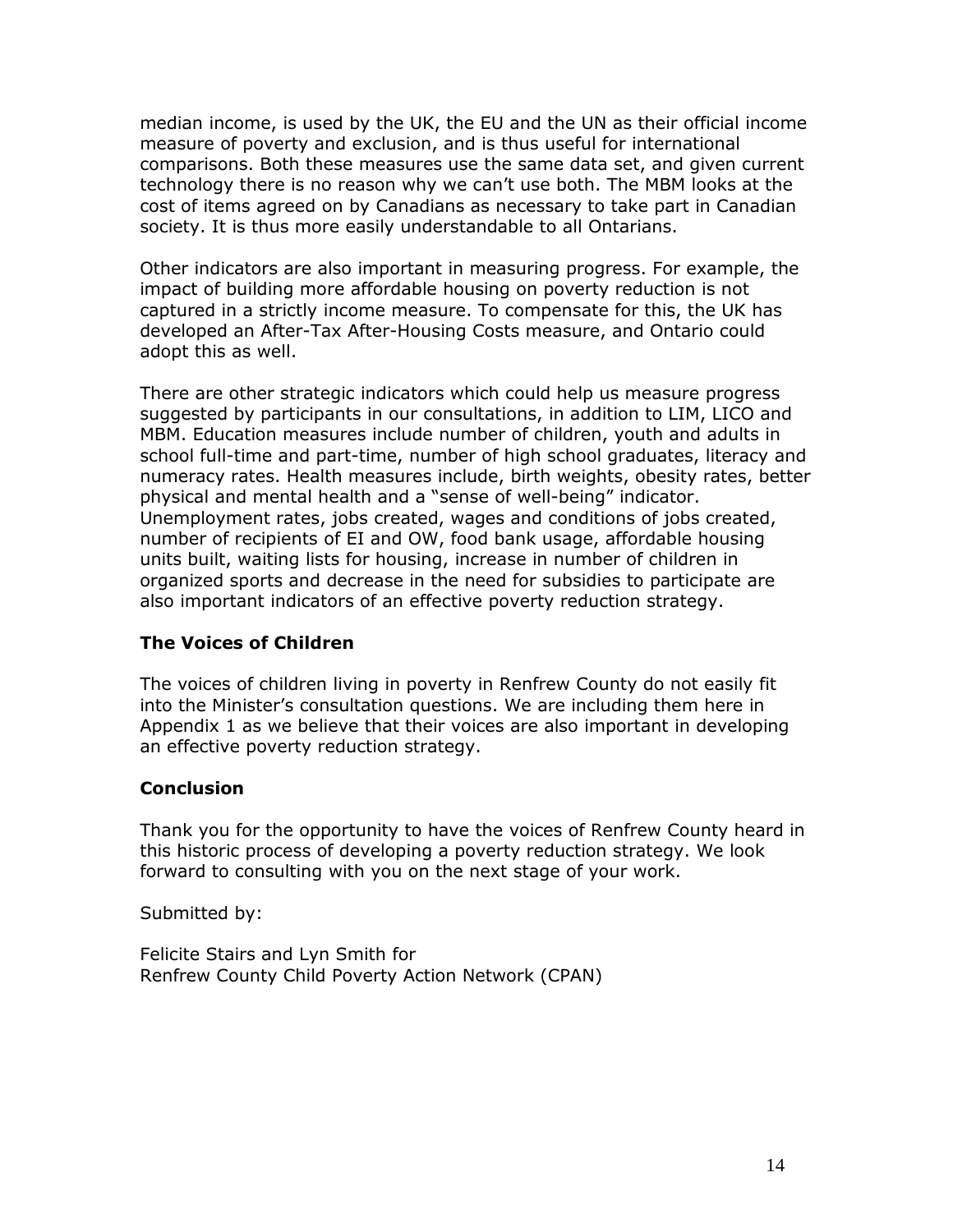median income, is used by the UK, the EU and the UN as their official income measure of poverty and exclusion, and is thus useful for international comparisons. Both these measures use the same data set, and given current technology there is no reason why we can't use both. The MBM looks at the cost of items agreed on by Canadians as necessary to take part in Canadian society. It is thus more easily understandable to all Ontarians.

Other indicators are also important in measuring progress. For example, the impact of building more affordable housing on poverty reduction is not captured in a strictly income measure. To compensate for this, the UK has developed an After-Tax After-Housing Costs measure, and Ontario could adopt this as well.

There are other strategic indicators which could help us measure progress suggested by participants in our consultations, in addition to LIM, LICO and MBM. Education measures include number of children, youth and adults in school full-time and part-time, number of high school graduates, literacy and numeracy rates. Health measures include, birth weights, obesity rates, better physical and mental health and a "sense of well-being" indicator. Unemployment rates, jobs created, wages and conditions of jobs created, number of recipients of EI and OW, food bank usage, affordable housing units built, waiting lists for housing, increase in number of children in organized sports and decrease in the need for subsidies to participate are also important indicators of an effective poverty reduction strategy.

#### **The Voices of Children**

The voices of children living in poverty in Renfrew County do not easily fit into the Minister's consultation questions. We are including them here in Appendix 1 as we believe that their voices are also important in developing an effective poverty reduction strategy.

#### **Conclusion**

Thank you for the opportunity to have the voices of Renfrew County heard in this historic process of developing a poverty reduction strategy. We look forward to consulting with you on the next stage of your work.

Submitted by:

Felicite Stairs and Lyn Smith for Renfrew County Child Poverty Action Network (CPAN)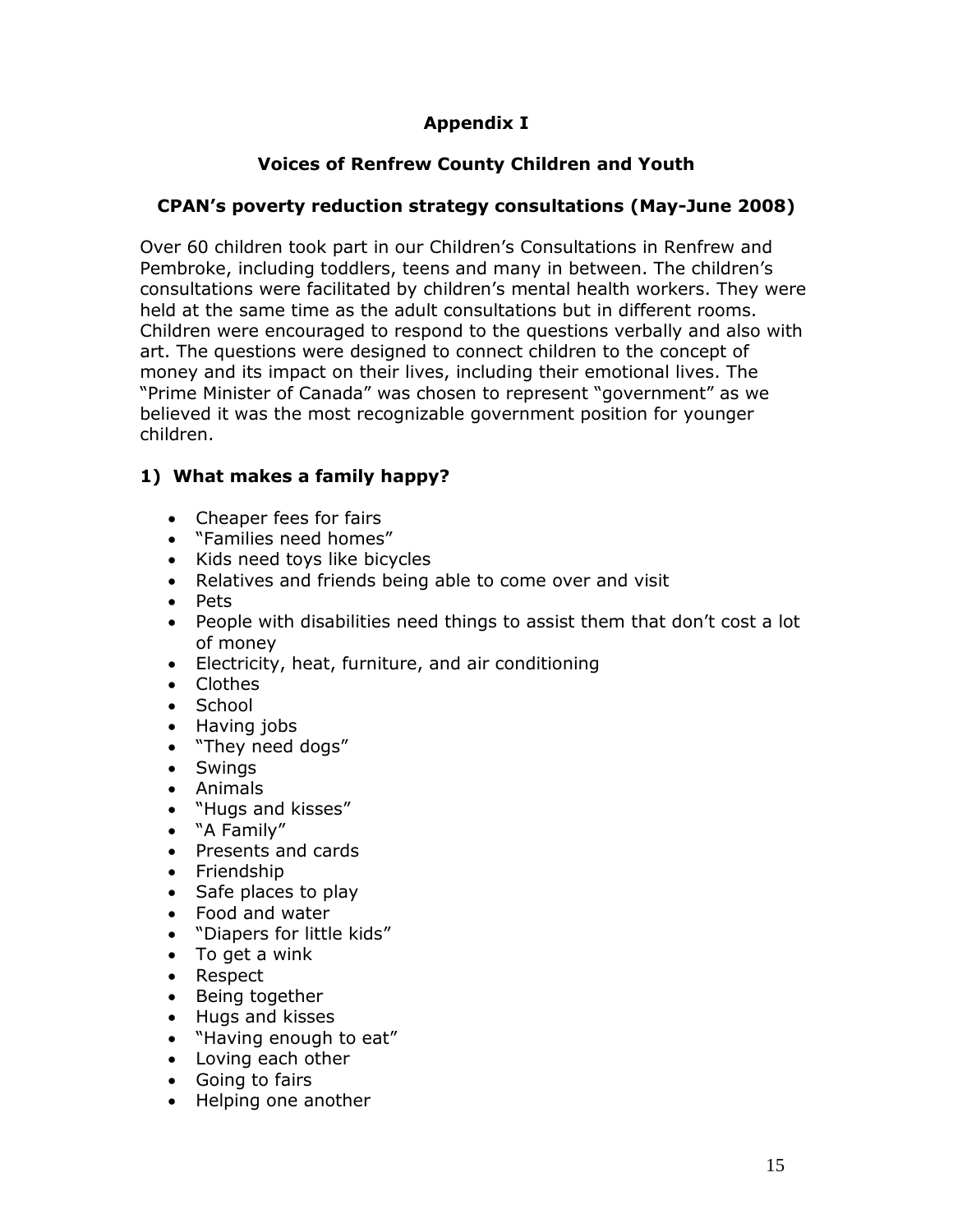## **Appendix I**

## **Voices of Renfrew County Children and Youth**

## **CPAN's poverty reduction strategy consultations (May-June 2008)**

Over 60 children took part in our Children's Consultations in Renfrew and Pembroke, including toddlers, teens and many in between. The children's consultations were facilitated by children's mental health workers. They were held at the same time as the adult consultations but in different rooms. Children were encouraged to respond to the questions verbally and also with art. The questions were designed to connect children to the concept of money and its impact on their lives, including their emotional lives. The "Prime Minister of Canada" was chosen to represent "government" as we believed it was the most recognizable government position for younger children.

### **1) What makes a family happy?**

- Cheaper fees for fairs
- "Families need homes"
- Kids need toys like bicycles
- Relatives and friends being able to come over and visit
- Pets
- People with disabilities need things to assist them that don't cost a lot of money
- Electricity, heat, furniture, and air conditioning
- Clothes
- School
- Having jobs
- "They need dogs"
- Swings
- Animals
- "Hugs and kisses"
- "A Family"
- Presents and cards
- Friendship
- Safe places to play
- Food and water
- "Diapers for little kids"
- To get a wink
- Respect
- Being together
- Hugs and kisses
- "Having enough to eat"
- Loving each other
- Going to fairs
- Helping one another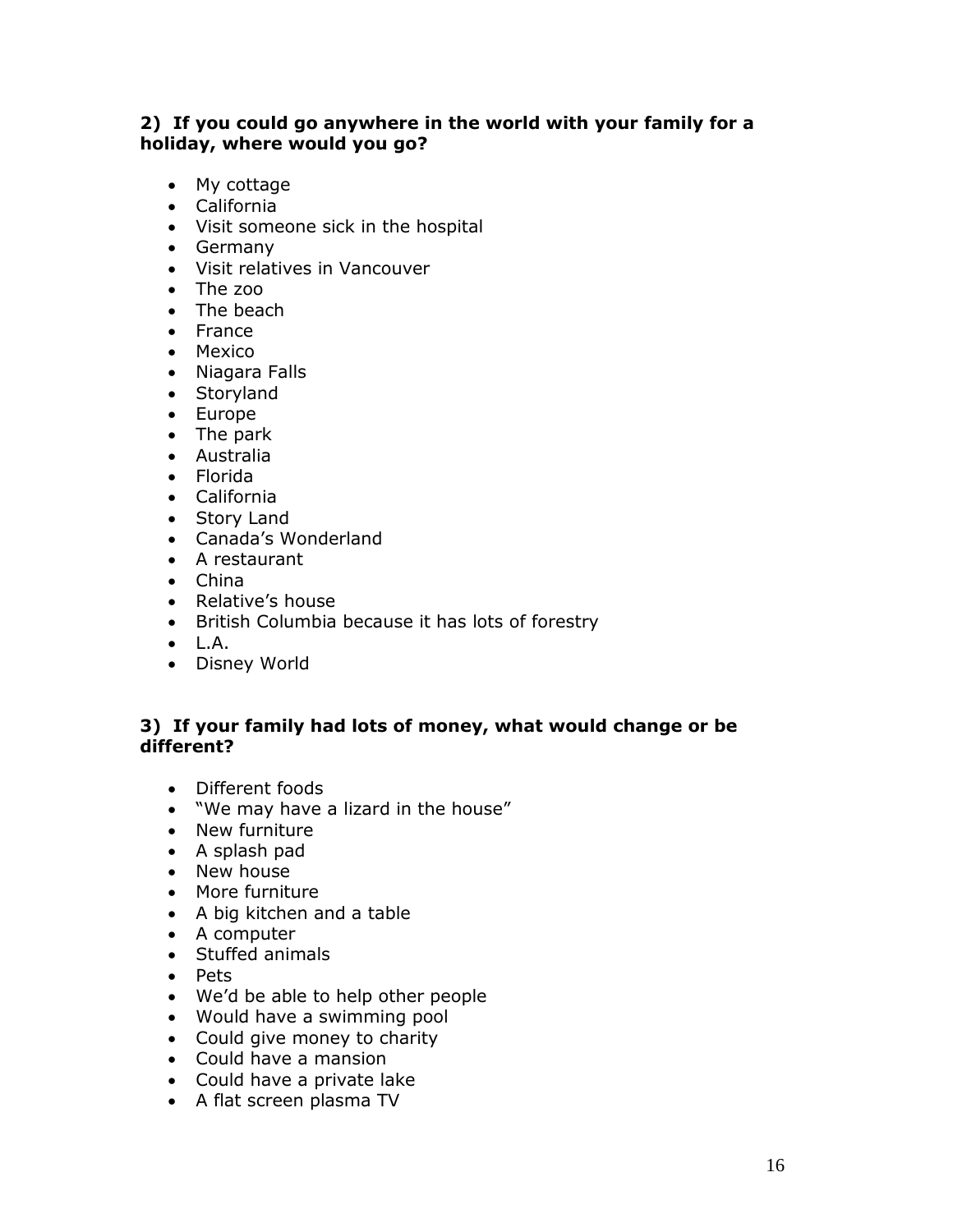#### **2) If you could go anywhere in the world with your family for a holiday, where would you go?**

- My cottage
- California
- Visit someone sick in the hospital
- Germany
- Visit relatives in Vancouver
- The zoo
- The beach
- France
- Mexico
- Niagara Falls
- Storyland
- Europe
- The park
- Australia
- Florida
- California
- Story Land
- Canada's Wonderland
- A restaurant
- China
- Relative's house
- British Columbia because it has lots of forestry
- $\bullet$  L.A.
- Disney World

#### **3) If your family had lots of money, what would change or be different?**

- Different foods
- "We may have a lizard in the house"
- New furniture
- A splash pad
- New house
- More furniture
- A big kitchen and a table
- A computer
- Stuffed animals
- Pets
- We'd be able to help other people
- Would have a swimming pool
- Could give money to charity
- Could have a mansion
- Could have a private lake
- A flat screen plasma TV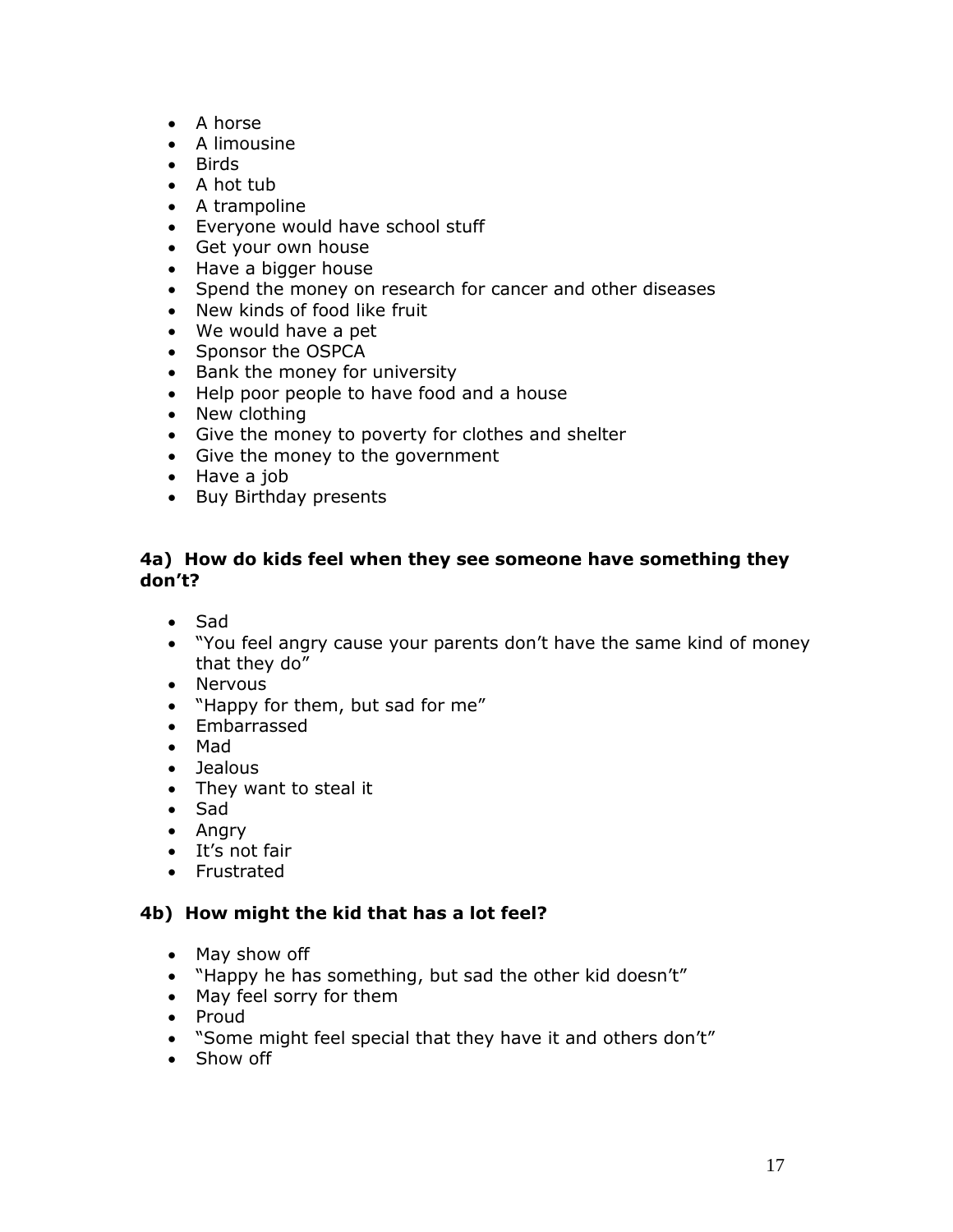- A horse
- A limousine
- Birds
- $\bullet$  A hot tub
- A trampoline
- Everyone would have school stuff
- Get your own house
- Have a bigger house
- Spend the money on research for cancer and other diseases
- New kinds of food like fruit
- We would have a pet
- Sponsor the OSPCA
- Bank the money for university
- Help poor people to have food and a house
- New clothing
- Give the money to poverty for clothes and shelter
- Give the money to the government
- Have a job
- Buy Birthday presents

#### **4a) How do kids feel when they see someone have something they don't?**

- Sad
- "You feel angry cause your parents don't have the same kind of money that they do"
- Nervous
- "Happy for them, but sad for me"
- Embarrassed
- Mad
- Jealous
- They want to steal it
- Sad
- Angry
- It's not fair
- **•** Frustrated

#### **4b) How might the kid that has a lot feel?**

- May show off
- "Happy he has something, but sad the other kid doesn't"
- May feel sorry for them
- Proud
- "Some might feel special that they have it and others don't"
- Show off